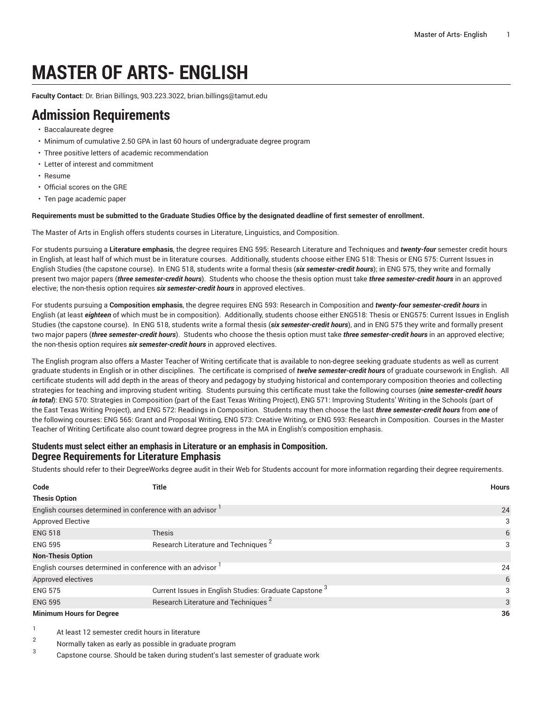# **MASTER OF ARTS- ENGLISH**

**Faculty Contact**: Dr. Brian Billings, 903.223.3022, [brian.billings@tamut.edu](mailto:brian.billings@tamut.edu)

### **Admission Requirements**

- Baccalaureate degree
- Minimum of cumulative 2.50 GPA in last 60 hours of undergraduate degree program
- Three positive letters of academic recommendation
- Letter of interest and commitment
- Resume
- Official scores on the GRE
- Ten page academic paper

#### Requirements must be submitted to the Graduate Studies Office by the designated deadline of first semester of enrollment.

The Master of Arts in English offers students courses in Literature, Linguistics, and Composition.

For students pursuing a **Literature emphasis**, the degree requires ENG 595: Research Literature and Techniques and *twenty-four* semester credit hours in English, at least half of which must be in literature courses. Additionally, students choose either ENG 518: Thesis or ENG 575: Current Issues in English Studies (the capstone course). In ENG 518, students write a formal thesis (*six semester-credit hours*); in ENG 575, they write and formally present two major papers (*three semester-credit hours*). Students who choose the thesis option must take *three semester-credit hours* in an approved elective; the non-thesis option requires *six semester-credit hours* in approved electives.

For students pursuing a **Composition emphasis**, the degree requires ENG 593: Research in Composition and *twenty-four semester-credit hours* in English (at least *eighteen* of which must be in composition). Additionally, students choose either ENG518: Thesis or ENG575: Current Issues in English Studies (the capstone course). In ENG 518, students write a formal thesis (*six semester-credit hours*), and in ENG 575 they write and formally present two major papers (*three semester-credit hours*). Students who choose the thesis option must take *three semester-credit hours* in an approved elective; the non-thesis option requires *six semester-credit hours* in approved electives.

The English program also offers a Master Teacher of Writing certificate that is available to non-degree seeking graduate students as well as current graduate students in English or in other disciplines. The certificate is comprised of *twelve semester-credit hours* of graduate coursework in English. All certificate students will add depth in the areas of theory and pedagogy by studying historical and contemporary composition theories and collecting strategies for teaching and improving student writing. Students pursuing this certificate must take the following courses (*nine semester-credit hours in total*): ENG 570: Strategies in Composition (part of the East Texas Writing Project), ENG 571: Improving Students' Writing in the Schools (part of the East Texas Writing Project), and ENG 572: Readings in Composition. Students may then choose the last *three semester-credit hours* from *one* of the following courses: ENG 565: Grant and Proposal Writing, ENG 573: Creative Writing, or ENG 593: Research in Composition. Courses in the Master Teacher of Writing Certificate also count toward degree progress in the MA in English's composition emphasis.

#### **Students must select either an emphasis in Literature or an emphasis in Composition. Degree Requirements for Literature Emphasis**

Students should refer to their DegreeWorks degree audit in their Web for Students account for more information regarding their degree requirements.

| Code                                                                  | <b>Title</b>                                                      | <b>Hours</b> |
|-----------------------------------------------------------------------|-------------------------------------------------------------------|--------------|
| <b>Thesis Option</b>                                                  |                                                                   |              |
| English courses determined in conference with an advisor <sup>1</sup> | 24                                                                |              |
| <b>Approved Elective</b>                                              |                                                                   | 3            |
| <b>ENG 518</b>                                                        | <b>Thesis</b>                                                     | 6            |
| <b>ENG 595</b>                                                        | Research Literature and Techniques <sup>2</sup>                   | 3            |
| <b>Non-Thesis Option</b>                                              |                                                                   |              |
| English courses determined in conference with an advisor              |                                                                   | 24           |
| Approved electives                                                    |                                                                   | 6            |
| <b>ENG 575</b>                                                        | Current Issues in English Studies: Graduate Capstone <sup>3</sup> | 3            |
| <b>ENG 595</b>                                                        | Research Literature and Techniques <sup>2</sup>                   | 3            |
| <b>Minimum Hours for Degree</b>                                       | 36                                                                |              |

1 At least 12 semester credit hours in literature

 $\mathfrak{p}$ Normally taken as early as possible in graduate program

3 Capstone course. Should be taken during student's last semester of graduate work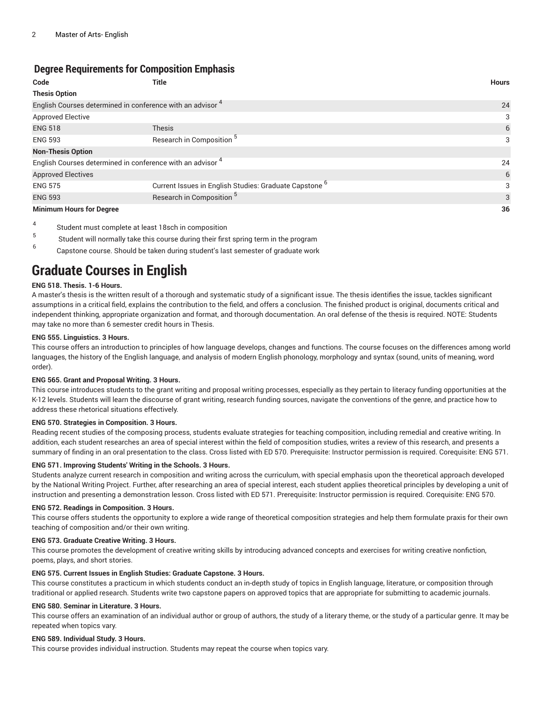### **Degree Requirements for Composition Emphasis**

| Code                                                                  | Title                                                             | <b>Hours</b> |
|-----------------------------------------------------------------------|-------------------------------------------------------------------|--------------|
| <b>Thesis Option</b>                                                  |                                                                   |              |
| English Courses determined in conference with an advisor <sup>4</sup> | 24                                                                |              |
| <b>Approved Elective</b>                                              |                                                                   | 3            |
| <b>ENG 518</b>                                                        | <b>Thesis</b>                                                     | 6            |
| <b>ENG 593</b>                                                        | Research in Composition <sup>5</sup>                              | 3            |
| <b>Non-Thesis Option</b>                                              |                                                                   |              |
| English Courses determined in conference with an advisor <sup>4</sup> | 24                                                                |              |
| <b>Approved Electives</b>                                             |                                                                   | 6            |
| <b>ENG 575</b>                                                        | Current Issues in English Studies: Graduate Capstone <sup>6</sup> | 3            |
| <b>ENG 593</b>                                                        | Research in Composition <sup>5</sup>                              | 3            |
| <b>Minimum Hours for Degree</b>                                       | 36                                                                |              |

#### 4 Student must complete at least 18sch in composition

5 Student will normally take this course during their first spring term in the program

6 Capstone course. Should be taken during student's last semester of graduate work

# **Graduate Courses in English**

#### **ENG 518. Thesis. 1-6 Hours.**

A master's thesis is the written result of a thorough and systematic study of a significant issue. The thesis identifies the issue, tackles significant assumptions in a critical field, explains the contribution to the field, and offers a conclusion. The finished product is original, documents critical and independent thinking, appropriate organization and format, and thorough documentation. An oral defense of the thesis is required. NOTE: Students may take no more than 6 semester credit hours in Thesis.

#### **ENG 555. Linguistics. 3 Hours.**

This course offers an introduction to principles of how language develops, changes and functions. The course focuses on the differences among world languages, the history of the English language, and analysis of modern English phonology, morphology and syntax (sound, units of meaning, word order).

#### **ENG 565. Grant and Proposal Writing. 3 Hours.**

This course introduces students to the grant writing and proposal writing processes, especially as they pertain to literacy funding opportunities at the K-12 levels. Students will learn the discourse of grant writing, research funding sources, navigate the conventions of the genre, and practice how to address these rhetorical situations effectively.

#### **ENG 570. Strategies in Composition. 3 Hours.**

Reading recent studies of the composing process, students evaluate strategies for teaching composition, including remedial and creative writing. In addition, each student researches an area of special interest within the field of composition studies, writes a review of this research, and presents a summary of finding in an oral presentation to the class. Cross listed with ED 570. Prerequisite: Instructor permission is required. Corequisite: ENG 571.

#### **ENG 571. Improving Students' Writing in the Schools. 3 Hours.**

Students analyze current research in composition and writing across the curriculum, with special emphasis upon the theoretical approach developed by the National Writing Project. Further, after researching an area of special interest, each student applies theoretical principles by developing a unit of instruction and presenting a demonstration lesson. Cross listed with ED 571. Prerequisite: Instructor permission is required. Corequisite: ENG 570.

#### **ENG 572. Readings in Composition. 3 Hours.**

This course offers students the opportunity to explore a wide range of theoretical composition strategies and help them formulate praxis for their own teaching of composition and/or their own writing.

#### **ENG 573. Graduate Creative Writing. 3 Hours.**

This course promotes the development of creative writing skills by introducing advanced concepts and exercises for writing creative nonfiction, poems, plays, and short stories.

#### **ENG 575. Current Issues in English Studies: Graduate Capstone. 3 Hours.**

This course constitutes a practicum in which students conduct an in-depth study of topics in English language, literature, or composition through traditional or applied research. Students write two capstone papers on approved topics that are appropriate for submitting to academic journals.

#### **ENG 580. Seminar in Literature. 3 Hours.**

This course offers an examination of an individual author or group of authors, the study of a literary theme, or the study of a particular genre. It may be repeated when topics vary.

#### **ENG 589. Individual Study. 3 Hours.**

This course provides individual instruction. Students may repeat the course when topics vary.